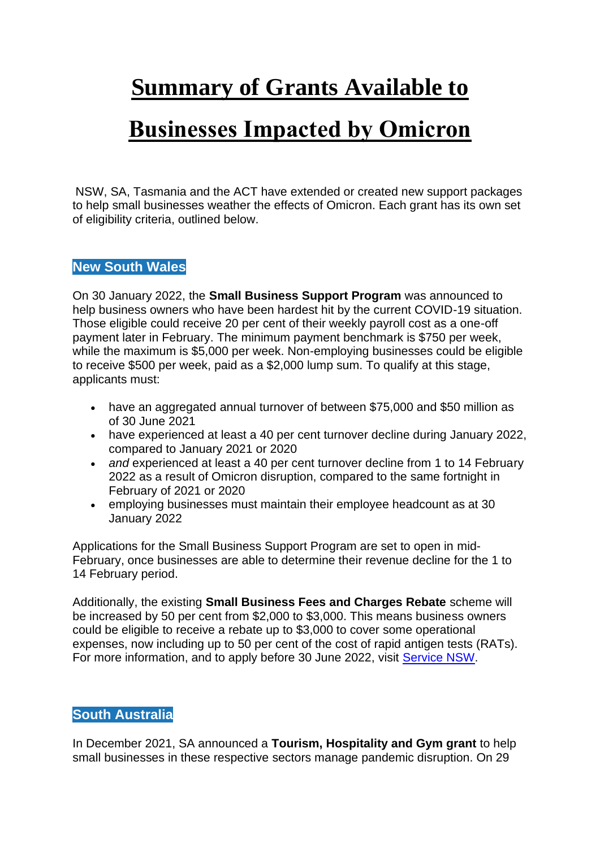# **Summary of Grants Available to**

# **Businesses Impacted by Omicron**

NSW, SA, Tasmania and the ACT have extended or created new support packages to help small businesses weather the effects of Omicron. Each grant has its own set of eligibility criteria, outlined below.

## **New South Wales**

On 30 January 2022, the **Small Business Support Program** was announced to help business owners who have been hardest hit by the current COVID-19 situation. Those eligible could receive 20 per cent of their weekly payroll cost as a one-off payment later in February. The minimum payment benchmark is \$750 per week, while the maximum is \$5,000 per week. Non-employing businesses could be eligible to receive \$500 per week, paid as a \$2,000 lump sum. To qualify at this stage, applicants must:

- have an aggregated annual turnover of between \$75,000 and \$50 million as of 30 June 2021
- have experienced at least a 40 per cent turnover decline during January 2022, compared to January 2021 or 2020
- *and* experienced at least a 40 per cent turnover decline from 1 to 14 February 2022 as a result of Omicron disruption, compared to the same fortnight in February of 2021 or 2020
- employing businesses must maintain their employee headcount as at 30 January 2022

Applications for the Small Business Support Program are set to open in mid-February, once businesses are able to determine their revenue decline for the 1 to 14 February period.

Additionally, the existing **Small Business Fees and Charges Rebate** scheme will be increased by 50 per cent from \$2,000 to \$3,000. This means business owners could be eligible to receive a rebate up to \$3,000 to cover some operational expenses, now including up to 50 per cent of the cost of rapid antigen tests (RATs). For more information, and to apply before 30 June 2022, visit [Service NSW.](https://www.service.nsw.gov.au/small-business-fees-and-charges-rebate)

## **South Australia**

In December 2021, SA announced a **Tourism, Hospitality and Gym grant** to help small businesses in these respective sectors manage pandemic disruption. On 29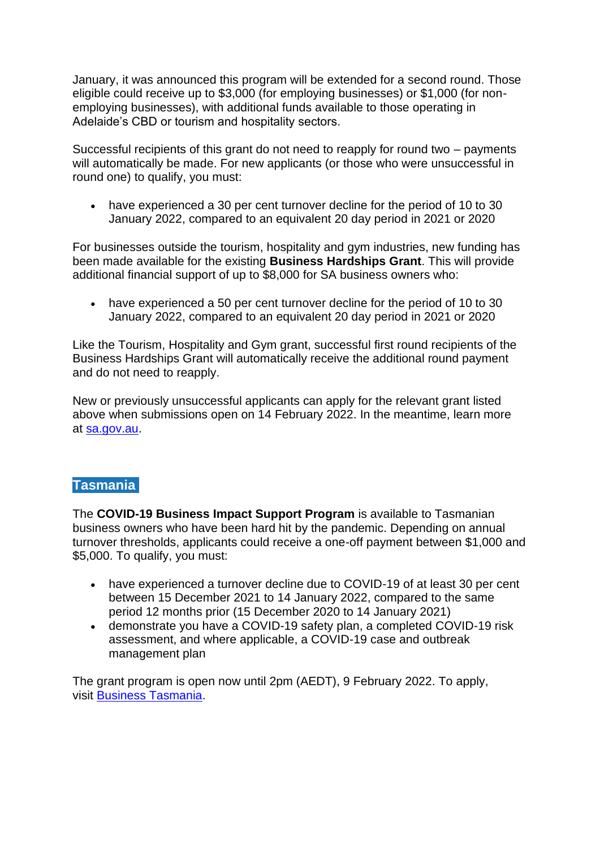January, it was announced this program will be extended for a second round. Those eligible could receive up to \$3,000 (for employing businesses) or \$1,000 (for nonemploying businesses), with additional funds available to those operating in Adelaide's CBD or tourism and hospitality sectors.

Successful recipients of this grant do not need to reapply for round two – payments will automatically be made. For new applicants (or those who were unsuccessful in round one) to qualify, you must:

• have experienced a 30 per cent turnover decline for the period of 10 to 30 January 2022, compared to an equivalent 20 day period in 2021 or 2020

For businesses outside the tourism, hospitality and gym industries, new funding has been made available for the existing **Business Hardships Grant**. This will provide additional financial support of up to \$8,000 for SA business owners who:

• have experienced a 50 per cent turnover decline for the period of 10 to 30 January 2022, compared to an equivalent 20 day period in 2021 or 2020

Like the Tourism, Hospitality and Gym grant, successful first round recipients of the Business Hardships Grant will automatically receive the additional round payment and do not need to reapply.

New or previously unsuccessful applicants can apply for the relevant grant listed above when submissions open on 14 February 2022. In the meantime, learn more at [sa.gov.au.](https://www.treasury.sa.gov.au/Growing-South-Australia/COVID-19/january-2022/Additional-Rounds-January-2022)

#### **Tasmania**

The **COVID-19 Business Impact Support Program** is available to Tasmanian business owners who have been hard hit by the pandemic. Depending on annual turnover thresholds, applicants could receive a one-off payment between \$1,000 and \$5,000. To qualify, you must:

- have experienced a turnover decline due to COVID-19 of at least 30 per cent between 15 December 2021 to 14 January 2022, compared to the same period 12 months prior (15 December 2020 to 14 January 2021)
- demonstrate you have a COVID-19 safety plan, a completed COVID-19 risk assessment, and where applicable, a COVID-19 case and outbreak management plan

The grant program is open now until 2pm (AEDT), 9 February 2022. To apply, visit [Business Tasmania.](https://www.business.tas.gov.au/covid-19_business_support_packages/covid-19_business_impact_support_program)